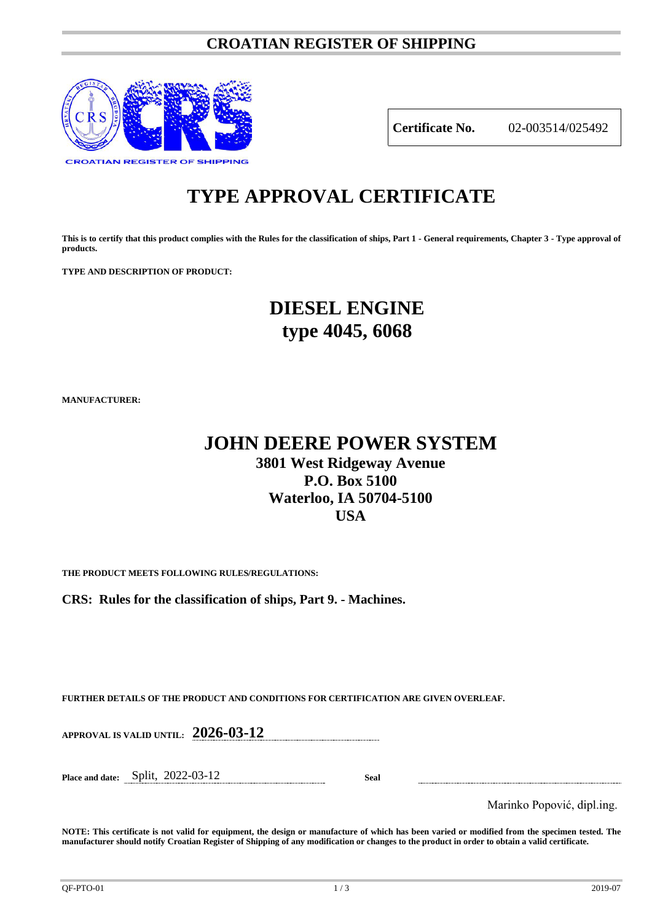### **CROATIAN REGISTER OF SHIPPING**



**Certificate No.** 02-003514/025492

# **TYPE APPROVAL CERTIFICATE**

**This is to certify that this product complies with the Rules for the classification of ships, Part 1 - General requirements, Chapter 3 - Type approval of products.**

**TYPE AND DESCRIPTION OF PRODUCT:** 

## **DIESEL ENGINE type 4045, 6068**

**MANUFACTURER:**

## **JOHN DEERE POWER SYSTEM 3801 West Ridgeway Avenue P.O. Box 5100 Waterloo, IA 50704-5100 USA**

**THE PRODUCT MEETS FOLLOWING RULES/REGULATIONS:**

**CRS: Rules for the classification of ships, Part 9. - Machines.**

**FURTHER DETAILS OF THE PRODUCT AND CONDITIONS FOR CERTIFICATION ARE GIVEN OVERLEAF.**

**APPROVAL IS VALID UNTIL: 2026-03-12**

**Place and date:** Split, 2022-03-12 **Seal**

Marinko Popović, dipl.ing.

**NOTE: This certificate is not valid for equipment, the design or manufacture of which has been varied or modified from the specimen tested. The manufacturer should notify Croatian Register of Shipping of any modification or changes to the product in order to obtain a valid certificate.**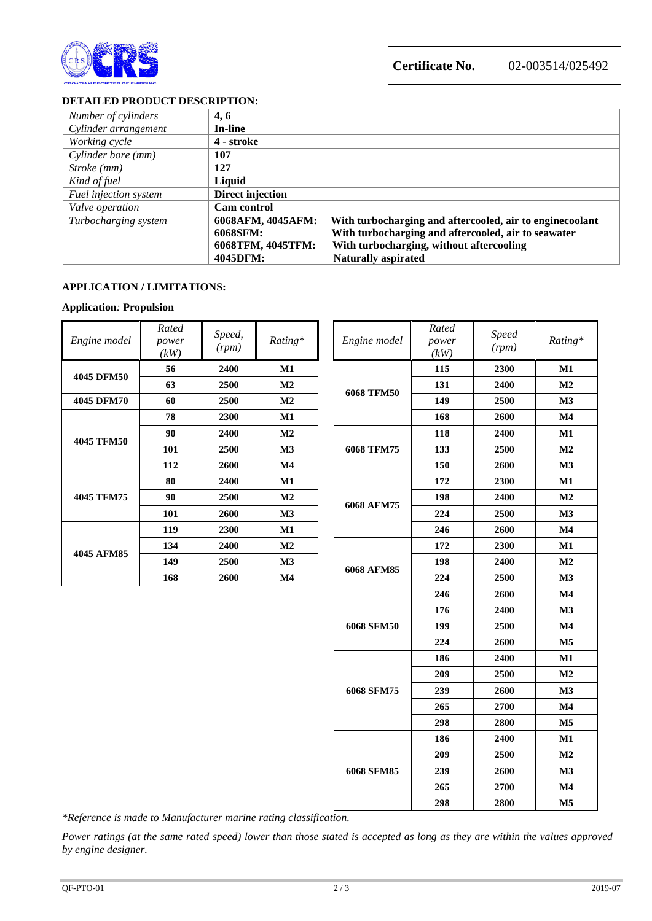

**Certificate No.** 02-003514/025492

#### **DETAILED PRODUCT DESCRIPTION:**

| Number of cylinders   | 4, 6              |                                                          |
|-----------------------|-------------------|----------------------------------------------------------|
| Cylinder arrangement  | <b>In-line</b>    |                                                          |
| Working cycle         | 4 - stroke        |                                                          |
| Cylinder bore (mm)    | 107               |                                                          |
| Stroke (mm)           | 127               |                                                          |
| Kind of fuel          | Liquid            |                                                          |
| Fuel injection system | Direct injection  |                                                          |
| Valve operation       | Cam control       |                                                          |
| Turbocharging system  | 6068AFM, 4045AFM: | With turbocharging and aftercooled, air to enginecoolant |
|                       | 6068SFM:          | With turbocharging and aftercooled, air to seawater      |
|                       | 6068TFM, 4045TFM: | With turbocharging, without aftercooling                 |
|                       | 4045DFM:          | <b>Naturally aspirated</b>                               |

#### **APPLICATION / LIMITATIONS:**

#### **Application***:* **Propulsion**

| Engine model      | Rated<br>power<br>(kW) | Speed,<br>(rpm) | Rating*        |  | Engine model      | Rated<br>power<br>(kW) | <b>Speed</b><br>(rpm) | Ratin          |
|-------------------|------------------------|-----------------|----------------|--|-------------------|------------------------|-----------------------|----------------|
| 4045 DFM50        | 56                     | 2400            | M1             |  | <b>6068 TFM50</b> | 115                    | 2300                  | M1             |
|                   | 63                     | 2500            | $\bf M2$       |  |                   | 131                    | 2400                  | M <sub>2</sub> |
| 4045 DFM70        | 60                     | 2500            | $\mathbf{M2}$  |  |                   | 149                    | 2500                  | M <sub>3</sub> |
|                   | 78                     | 2300            | M1             |  |                   | 168                    | 2600                  | $\mathbf{M}4$  |
| <b>4045 TFM50</b> | 90                     | 2400            | $\mathbf{M2}$  |  |                   | 118                    | 2400                  | $\mathbf{M}1$  |
|                   | 101                    | 2500            | M <sub>3</sub> |  | 6068 TFM75        | 133                    | 2500                  | M <sub>2</sub> |
|                   | 112                    | 2600            | $\mathbf{M}4$  |  |                   | 150                    | 2600                  | M <sub>3</sub> |
| 4045 TFM75        | 80                     | 2400            | M1             |  |                   | 172                    | 2300                  | $\mathbf{M}1$  |
|                   | 90                     | 2500            | M2             |  |                   | 198                    | 2400                  | M <sub>2</sub> |
|                   | 101                    | 2600            | <b>M3</b>      |  | 6068 AFM75        | 224                    | 2500                  | M <sub>3</sub> |
| 4045 AFM85        | 119                    | 2300            | M1             |  |                   | 246                    | 2600                  | M <sub>4</sub> |
|                   | 134                    | 2400            | $\mathbf{M2}$  |  | 6068 AFM85        | 172                    | 2300                  | $\mathbf{M}1$  |
|                   | 149                    | 2500            | $\mathbf{M}3$  |  |                   | 198                    | 2400                  | M <sub>2</sub> |
|                   | 168                    | 2600            | M <sub>4</sub> |  |                   | 224                    | 2500                  | M <sub>3</sub> |

| ated!<br>ower<br>kW | Speed,<br>(rpm) | Rating*        | Engine model      | Rated<br>power<br>(kW) | <b>Speed</b><br>(rpm) | Rating*        |
|---------------------|-----------------|----------------|-------------------|------------------------|-----------------------|----------------|
| 56                  | 2400            | M1             |                   | 115                    | 2300                  | M1             |
| 63                  | 2500            | M2             | <b>6068 TFM50</b> | 131                    | 2400                  | M <sub>2</sub> |
| 60                  | 2500            | M <sub>2</sub> |                   | 149                    | 2500                  | M3             |
| 78                  | 2300            | M1             |                   | 168                    | 2600                  | $\mathbf{M}4$  |
| 90                  | 2400            | M2             |                   | 118                    | 2400                  | M1             |
| 101                 | 2500            | M3             | 6068 TFM75        | 133                    | 2500                  | M2             |
| 112                 | 2600            | $\mathbf{M}4$  |                   | 150                    | 2600                  | M3             |
| 80                  | 2400            | M1             |                   | 172                    | 2300                  | $\mathbf{M1}$  |
| 90                  | 2500            | M2             |                   | 198                    | 2400                  | M <sub>2</sub> |
| 101                 | 2600            | M3             | 6068 AFM75        | 224                    | 2500                  | M3             |
| 119                 | 2300            | $\mathbf{M1}$  |                   | 246                    | 2600                  | $\mathbf{M}4$  |
| 134                 | 2400            | M2             | 6068 AFM85        | 172                    | 2300                  | M1             |
| 149                 | 2500            | M3             |                   | 198                    | 2400                  | M <sub>2</sub> |
| 168                 | 2600            | $\mathbf{M}4$  |                   | 224                    | 2500                  | M3             |
|                     |                 |                |                   | 246                    | 2600                  | $\mathbf{M}4$  |
|                     |                 |                |                   | 176                    | 2400                  | M3             |
|                     |                 | 6068 SFM50     | 199               | 2500                   | $\mathbf{M}4$         |                |
|                     |                 |                | 224               | 2600                   | M <sub>5</sub>        |                |
|                     |                 |                |                   | 186                    | 2400                  | M1             |
|                     |                 |                |                   | 209                    | 2500                  | M2             |
|                     |                 | 6068 SFM75     | 239               | 2600                   | M3                    |                |
|                     |                 |                |                   | 265                    | 2700                  | $\mathbf{M}4$  |
|                     |                 |                |                   | 298                    | 2800                  | $\mathbf{M5}$  |
|                     |                 |                |                   | 186                    | 2400                  | M1             |
|                     |                 |                |                   | 209                    | 2500                  | M <sub>2</sub> |
|                     |                 |                | 6068 SFM85        | 239                    | 2600                  | M3             |
|                     |                 |                |                   | 265                    | 2700                  | $\mathbf{M}4$  |
|                     |                 |                |                   | 298                    | 2800                  | M <sub>5</sub> |
|                     |                 |                |                   |                        |                       |                |

*\*Reference is made to Manufacturer marine rating classification.*

*Power ratings (at the same rated speed) lower than those stated is accepted as long as they are within the values approved by engine designer.*